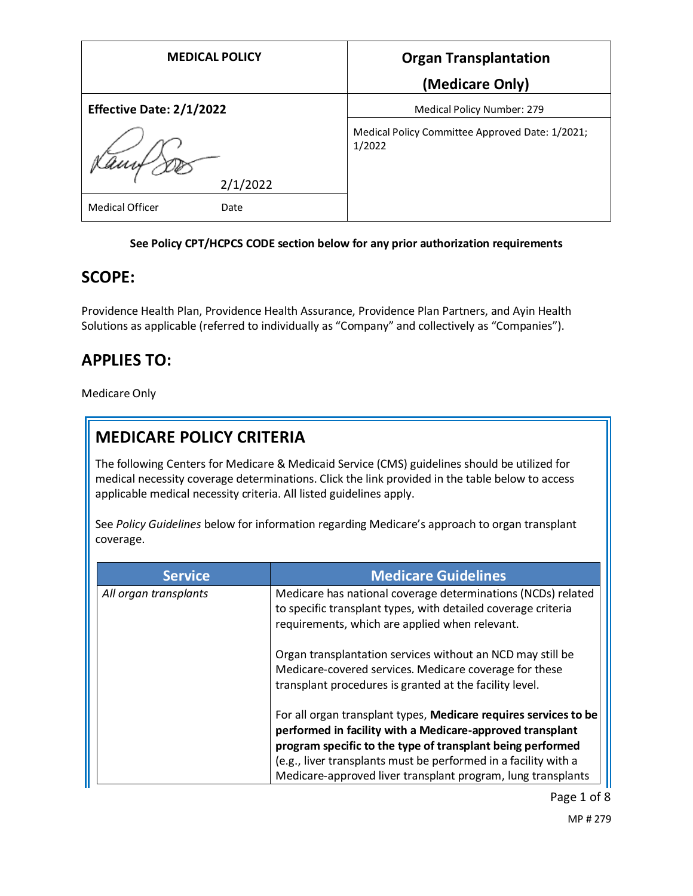| <b>MEDICAL POLICY</b>          | <b>Organ Transplantation</b>                              |
|--------------------------------|-----------------------------------------------------------|
|                                | (Medicare Only)                                           |
| Effective Date: 2/1/2022       | Medical Policy Number: 279                                |
|                                | Medical Policy Committee Approved Date: 1/2021;<br>1/2022 |
| 2/1/2022                       |                                                           |
| <b>Medical Officer</b><br>Date |                                                           |

#### **See Policy CPT/HCPCS CODE section below for any prior authorization requirements**

#### **SCOPE:**

Providence Health Plan, Providence Health Assurance, Providence Plan Partners, and Ayin Health Solutions as applicable (referred to individually as "Company" and collectively as "Companies").

## **APPLIES TO:**

Medicare Only

## **MEDICARE POLICY CRITERIA**

The following Centers for Medicare & Medicaid Service (CMS) guidelines should be utilized for medical necessity coverage determinations. Click the link provided in the table below to access applicable medical necessity criteria. All listed guidelines apply.

See *Policy Guidelines* below for information regarding Medicare's approach to organ transplant coverage.

| <b>Service</b>        | <b>Medicare Guidelines</b>                                                                                                                                                                                                                                                                                                     |
|-----------------------|--------------------------------------------------------------------------------------------------------------------------------------------------------------------------------------------------------------------------------------------------------------------------------------------------------------------------------|
| All organ transplants | Medicare has national coverage determinations (NCDs) related<br>to specific transplant types, with detailed coverage criteria<br>requirements, which are applied when relevant.                                                                                                                                                |
|                       | Organ transplantation services without an NCD may still be<br>Medicare-covered services. Medicare coverage for these<br>transplant procedures is granted at the facility level.                                                                                                                                                |
|                       | For all organ transplant types, Medicare requires services to be<br>performed in facility with a Medicare-approved transplant<br>program specific to the type of transplant being performed<br>(e.g., liver transplants must be performed in a facility with a<br>Medicare-approved liver transplant program, lung transplants |

Page 1 of 8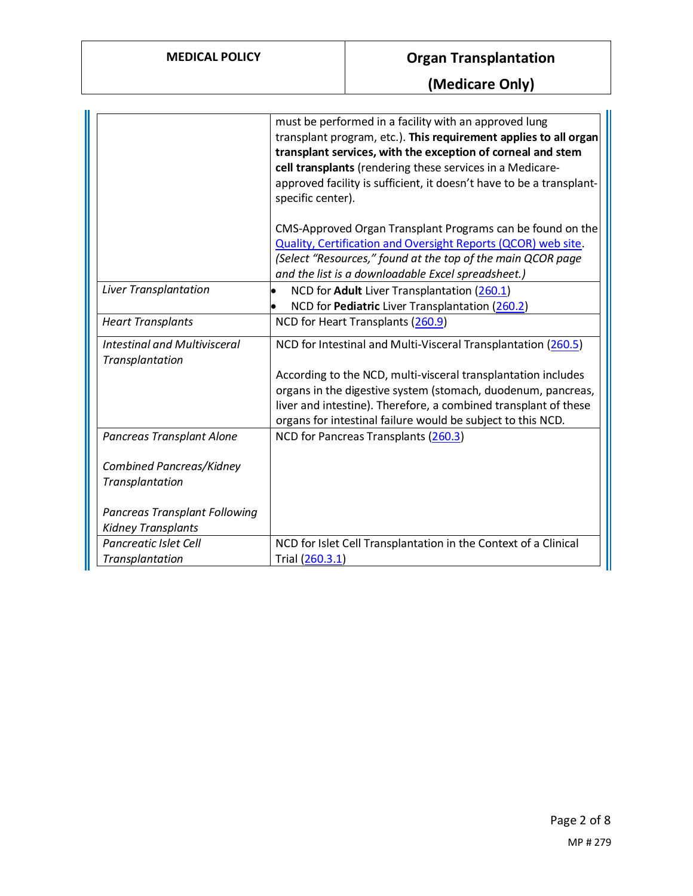**(Medicare Only)**

|                                                        | must be performed in a facility with an approved lung<br>transplant program, etc.). This requirement applies to all organ<br>transplant services, with the exception of corneal and stem<br>cell transplants (rendering these services in a Medicare-<br>approved facility is sufficient, it doesn't have to be a transplant-<br>specific center). |
|--------------------------------------------------------|----------------------------------------------------------------------------------------------------------------------------------------------------------------------------------------------------------------------------------------------------------------------------------------------------------------------------------------------------|
|                                                        | CMS-Approved Organ Transplant Programs can be found on the                                                                                                                                                                                                                                                                                         |
|                                                        | Quality, Certification and Oversight Reports (QCOR) web site.                                                                                                                                                                                                                                                                                      |
|                                                        | (Select "Resources," found at the top of the main QCOR page                                                                                                                                                                                                                                                                                        |
|                                                        | and the list is a downloadable Excel spreadsheet.)                                                                                                                                                                                                                                                                                                 |
| Liver Transplantation                                  | NCD for Adult Liver Transplantation (260.1)                                                                                                                                                                                                                                                                                                        |
|                                                        | NCD for Pediatric Liver Transplantation (260.2)                                                                                                                                                                                                                                                                                                    |
| <b>Heart Transplants</b>                               | NCD for Heart Transplants (260.9)                                                                                                                                                                                                                                                                                                                  |
| <b>Intestinal and Multivisceral</b><br>Transplantation | NCD for Intestinal and Multi-Visceral Transplantation (260.5)                                                                                                                                                                                                                                                                                      |
|                                                        | According to the NCD, multi-visceral transplantation includes                                                                                                                                                                                                                                                                                      |
|                                                        | organs in the digestive system (stomach, duodenum, pancreas,                                                                                                                                                                                                                                                                                       |
|                                                        | liver and intestine). Therefore, a combined transplant of these                                                                                                                                                                                                                                                                                    |
|                                                        | organs for intestinal failure would be subject to this NCD.                                                                                                                                                                                                                                                                                        |
| Pancreas Transplant Alone                              | NCD for Pancreas Transplants (260.3)                                                                                                                                                                                                                                                                                                               |
| Combined Pancreas/Kidney                               |                                                                                                                                                                                                                                                                                                                                                    |
| Transplantation                                        |                                                                                                                                                                                                                                                                                                                                                    |
|                                                        |                                                                                                                                                                                                                                                                                                                                                    |
| <b>Pancreas Transplant Following</b>                   |                                                                                                                                                                                                                                                                                                                                                    |
| <b>Kidney Transplants</b>                              |                                                                                                                                                                                                                                                                                                                                                    |
| Pancreatic Islet Cell                                  | NCD for Islet Cell Transplantation in the Context of a Clinical                                                                                                                                                                                                                                                                                    |
| Transplantation                                        | Trial (260.3.1)                                                                                                                                                                                                                                                                                                                                    |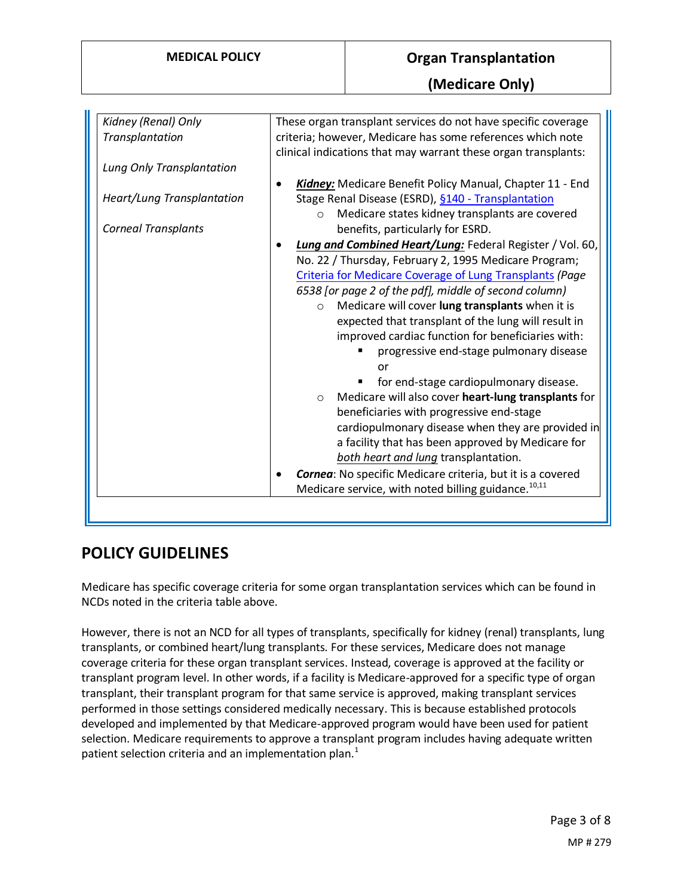| Kidney (Renal) Only        | These organ transplant services do not have specific coverage                                                                                                                                                                                                                                                                                                                                                                                                                                                |
|----------------------------|--------------------------------------------------------------------------------------------------------------------------------------------------------------------------------------------------------------------------------------------------------------------------------------------------------------------------------------------------------------------------------------------------------------------------------------------------------------------------------------------------------------|
| Transplantation            | criteria; however, Medicare has some references which note<br>clinical indications that may warrant these organ transplants:                                                                                                                                                                                                                                                                                                                                                                                 |
| Lung Only Transplantation  |                                                                                                                                                                                                                                                                                                                                                                                                                                                                                                              |
| Heart/Lung Transplantation | Kidney: Medicare Benefit Policy Manual, Chapter 11 - End<br>Stage Renal Disease (ESRD), §140 - Transplantation<br>Medicare states kidney transplants are covered<br>$\Omega$                                                                                                                                                                                                                                                                                                                                 |
| <b>Corneal Transplants</b> | benefits, particularly for ESRD.                                                                                                                                                                                                                                                                                                                                                                                                                                                                             |
|                            | Lung and Combined Heart/Lung: Federal Register / Vol. 60,<br>No. 22 / Thursday, February 2, 1995 Medicare Program;<br>Criteria for Medicare Coverage of Lung Transplants (Page<br>6538 [or page 2 of the pdf], middle of second column)<br>Medicare will cover lung transplants when it is<br>$\circ$<br>expected that transplant of the lung will result in<br>improved cardiac function for beneficiaries with:<br>progressive end-stage pulmonary disease<br>or<br>for end-stage cardiopulmonary disease. |
|                            | Medicare will also cover heart-lung transplants for<br>$\circ$<br>beneficiaries with progressive end-stage<br>cardiopulmonary disease when they are provided in<br>a facility that has been approved by Medicare for<br>both heart and lung transplantation.<br>Cornea: No specific Medicare criteria, but it is a covered                                                                                                                                                                                   |
|                            | Medicare service, with noted billing guidance. <sup>10,11</sup>                                                                                                                                                                                                                                                                                                                                                                                                                                              |

### **POLICY GUIDELINES**

Medicare has specific coverage criteria for some organ transplantation services which can be found in NCDs noted in the criteria table above.

However, there is not an NCD for all types of transplants, specifically for kidney (renal) transplants, lung transplants, or combined heart/lung transplants. For these services, Medicare does not manage coverage criteria for these organ transplant services. Instead, coverage is approved at the facility or transplant program level. In other words, if a facility is Medicare-approved for a specific type of organ transplant, their transplant program for that same service is approved, making transplant services performed in those settings considered medically necessary. This is because established protocols developed and implemented by that Medicare-approved program would have been used for patient selection. Medicare requirements to approve a transplant program includes having adequate written patient selection criteria and an implementation plan. $<sup>1</sup>$ </sup>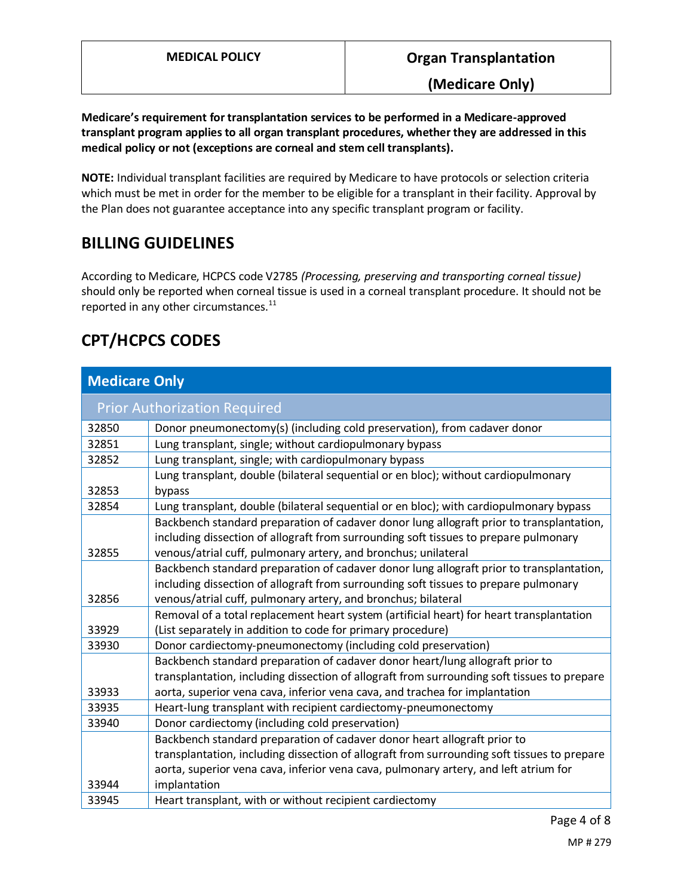**(Medicare Only)**

**Medicare's requirement for transplantation services to be performed in a Medicare-approved transplant program applies to all organ transplant procedures, whether they are addressed in this medical policy or not (exceptions are corneal and stem cell transplants).**

**NOTE:** Individual transplant facilities are required by Medicare to have protocols or selection criteria which must be met in order for the member to be eligible for a transplant in their facility. Approval by the Plan does not guarantee acceptance into any specific transplant program or facility.

## **BILLING GUIDELINES**

According to Medicare, HCPCS code V2785 *(Processing, preserving and transporting corneal tissue)* should only be reported when corneal tissue is used in a corneal transplant procedure. It should not be reported in any other circumstances. $^{11}$ 

# **CPT/HCPCS CODES**

| <b>Medicare Only</b>                |                                                                                                                                                                                                                                                                                 |
|-------------------------------------|---------------------------------------------------------------------------------------------------------------------------------------------------------------------------------------------------------------------------------------------------------------------------------|
| <b>Prior Authorization Required</b> |                                                                                                                                                                                                                                                                                 |
| 32850                               | Donor pneumonectomy(s) (including cold preservation), from cadaver donor                                                                                                                                                                                                        |
| 32851                               | Lung transplant, single; without cardiopulmonary bypass                                                                                                                                                                                                                         |
| 32852                               | Lung transplant, single; with cardiopulmonary bypass                                                                                                                                                                                                                            |
| 32853                               | Lung transplant, double (bilateral sequential or en bloc); without cardiopulmonary<br>bypass                                                                                                                                                                                    |
| 32854                               | Lung transplant, double (bilateral sequential or en bloc); with cardiopulmonary bypass                                                                                                                                                                                          |
| 32855                               | Backbench standard preparation of cadaver donor lung allograft prior to transplantation,<br>including dissection of allograft from surrounding soft tissues to prepare pulmonary<br>venous/atrial cuff, pulmonary artery, and bronchus; unilateral                              |
| 32856                               | Backbench standard preparation of cadaver donor lung allograft prior to transplantation,<br>including dissection of allograft from surrounding soft tissues to prepare pulmonary<br>venous/atrial cuff, pulmonary artery, and bronchus; bilateral                               |
| 33929                               | Removal of a total replacement heart system (artificial heart) for heart transplantation<br>(List separately in addition to code for primary procedure)                                                                                                                         |
| 33930                               | Donor cardiectomy-pneumonectomy (including cold preservation)                                                                                                                                                                                                                   |
| 33933                               | Backbench standard preparation of cadaver donor heart/lung allograft prior to<br>transplantation, including dissection of allograft from surrounding soft tissues to prepare<br>aorta, superior vena cava, inferior vena cava, and trachea for implantation                     |
| 33935                               | Heart-lung transplant with recipient cardiectomy-pneumonectomy                                                                                                                                                                                                                  |
| 33940                               | Donor cardiectomy (including cold preservation)                                                                                                                                                                                                                                 |
| 33944                               | Backbench standard preparation of cadaver donor heart allograft prior to<br>transplantation, including dissection of allograft from surrounding soft tissues to prepare<br>aorta, superior vena cava, inferior vena cava, pulmonary artery, and left atrium for<br>implantation |
| 33945                               | Heart transplant, with or without recipient cardiectomy                                                                                                                                                                                                                         |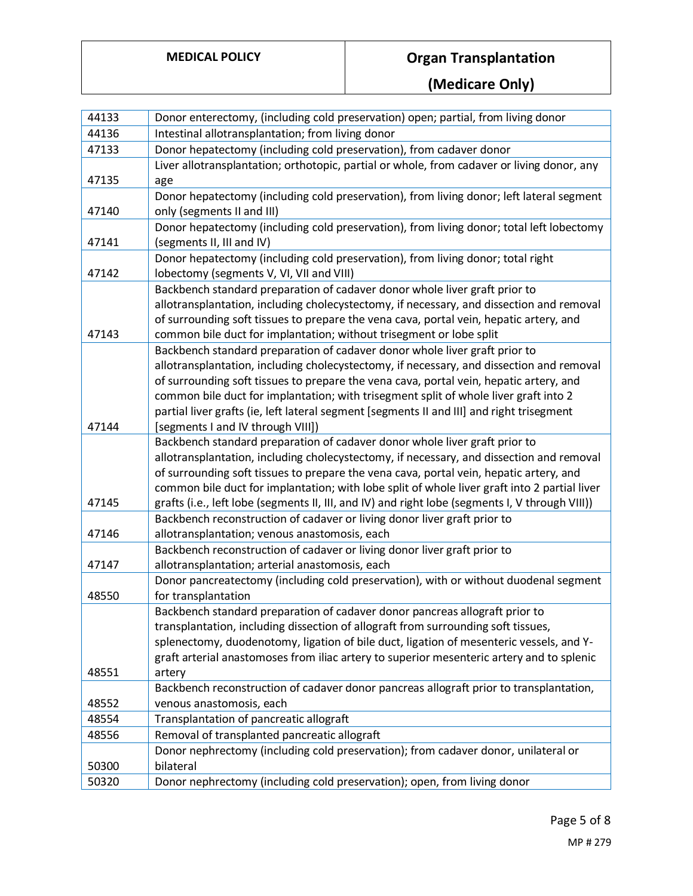**(Medicare Only)**

| 44133 | Donor enterectomy, (including cold preservation) open; partial, from living donor                                              |
|-------|--------------------------------------------------------------------------------------------------------------------------------|
| 44136 | Intestinal allotransplantation; from living donor                                                                              |
| 47133 | Donor hepatectomy (including cold preservation), from cadaver donor                                                            |
|       | Liver allotransplantation; orthotopic, partial or whole, from cadaver or living donor, any                                     |
| 47135 | age                                                                                                                            |
|       | Donor hepatectomy (including cold preservation), from living donor; left lateral segment                                       |
| 47140 | only (segments II and III)                                                                                                     |
|       | Donor hepatectomy (including cold preservation), from living donor; total left lobectomy                                       |
| 47141 | (segments II, III and IV)                                                                                                      |
|       | Donor hepatectomy (including cold preservation), from living donor; total right                                                |
| 47142 | lobectomy (segments V, VI, VII and VIII)                                                                                       |
|       | Backbench standard preparation of cadaver donor whole liver graft prior to                                                     |
|       | allotransplantation, including cholecystectomy, if necessary, and dissection and removal                                       |
|       | of surrounding soft tissues to prepare the vena cava, portal vein, hepatic artery, and                                         |
| 47143 | common bile duct for implantation; without trisegment or lobe split                                                            |
|       | Backbench standard preparation of cadaver donor whole liver graft prior to                                                     |
|       | allotransplantation, including cholecystectomy, if necessary, and dissection and removal                                       |
|       | of surrounding soft tissues to prepare the vena cava, portal vein, hepatic artery, and                                         |
|       | common bile duct for implantation; with trisegment split of whole liver graft into 2                                           |
| 47144 | partial liver grafts (ie, left lateral segment [segments II and III] and right trisegment<br>[segments I and IV through VIII]) |
|       | Backbench standard preparation of cadaver donor whole liver graft prior to                                                     |
|       | allotransplantation, including cholecystectomy, if necessary, and dissection and removal                                       |
|       | of surrounding soft tissues to prepare the vena cava, portal vein, hepatic artery, and                                         |
|       | common bile duct for implantation; with lobe split of whole liver graft into 2 partial liver                                   |
| 47145 | grafts (i.e., left lobe (segments II, III, and IV) and right lobe (segments I, V through VIII))                                |
|       | Backbench reconstruction of cadaver or living donor liver graft prior to                                                       |
| 47146 | allotransplantation; venous anastomosis, each                                                                                  |
|       | Backbench reconstruction of cadaver or living donor liver graft prior to                                                       |
| 47147 | allotransplantation; arterial anastomosis, each                                                                                |
|       | Donor pancreatectomy (including cold preservation), with or without duodenal segment                                           |
| 48550 | for transplantation                                                                                                            |
|       | Backbench standard preparation of cadaver donor pancreas allograft prior to                                                    |
|       | transplantation, including dissection of allograft from surrounding soft tissues,                                              |
|       | splenectomy, duodenotomy, ligation of bile duct, ligation of mesenteric vessels, and Y-                                        |
|       | graft arterial anastomoses from iliac artery to superior mesenteric artery and to splenic                                      |
| 48551 | artery                                                                                                                         |
|       | Backbench reconstruction of cadaver donor pancreas allograft prior to transplantation,                                         |
| 48552 | venous anastomosis, each                                                                                                       |
| 48554 | Transplantation of pancreatic allograft                                                                                        |
| 48556 | Removal of transplanted pancreatic allograft                                                                                   |
|       | Donor nephrectomy (including cold preservation); from cadaver donor, unilateral or                                             |
| 50300 | bilateral                                                                                                                      |
| 50320 | Donor nephrectomy (including cold preservation); open, from living donor                                                       |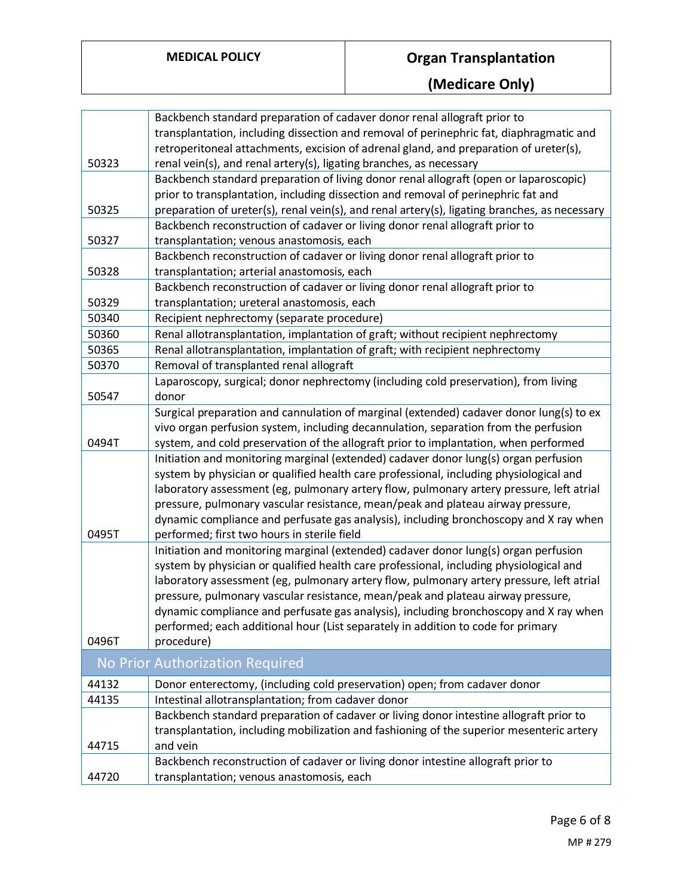**(Medicare Only)**

|       | Backbench standard preparation of cadaver donor renal allograft prior to                      |
|-------|-----------------------------------------------------------------------------------------------|
|       | transplantation, including dissection and removal of perinephric fat, diaphragmatic and       |
|       | retroperitoneal attachments, excision of adrenal gland, and preparation of ureter(s),         |
| 50323 | renal vein(s), and renal artery(s), ligating branches, as necessary                           |
|       | Backbench standard preparation of living donor renal allograft (open or laparoscopic)         |
|       | prior to transplantation, including dissection and removal of perinephric fat and             |
| 50325 | preparation of ureter(s), renal vein(s), and renal artery(s), ligating branches, as necessary |
|       | Backbench reconstruction of cadaver or living donor renal allograft prior to                  |
| 50327 | transplantation; venous anastomosis, each                                                     |
|       | Backbench reconstruction of cadaver or living donor renal allograft prior to                  |
| 50328 | transplantation; arterial anastomosis, each                                                   |
|       | Backbench reconstruction of cadaver or living donor renal allograft prior to                  |
| 50329 | transplantation; ureteral anastomosis, each                                                   |
| 50340 | Recipient nephrectomy (separate procedure)                                                    |
| 50360 | Renal allotransplantation, implantation of graft; without recipient nephrectomy               |
| 50365 | Renal allotransplantation, implantation of graft; with recipient nephrectomy                  |
| 50370 | Removal of transplanted renal allograft                                                       |
|       | Laparoscopy, surgical; donor nephrectomy (including cold preservation), from living           |
| 50547 | donor                                                                                         |
|       | Surgical preparation and cannulation of marginal (extended) cadaver donor lung(s) to ex       |
|       | vivo organ perfusion system, including decannulation, separation from the perfusion           |
| 0494T | system, and cold preservation of the allograft prior to implantation, when performed          |
|       | Initiation and monitoring marginal (extended) cadaver donor lung(s) organ perfusion           |
|       | system by physician or qualified health care professional, including physiological and        |
|       | laboratory assessment (eg, pulmonary artery flow, pulmonary artery pressure, left atrial      |
|       | pressure, pulmonary vascular resistance, mean/peak and plateau airway pressure,               |
|       | dynamic compliance and perfusate gas analysis), including bronchoscopy and X ray when         |
| 0495T | performed; first two hours in sterile field                                                   |
|       | Initiation and monitoring marginal (extended) cadaver donor lung(s) organ perfusion           |
|       | system by physician or qualified health care professional, including physiological and        |
|       | laboratory assessment (eg, pulmonary artery flow, pulmonary artery pressure, left atrial      |
|       | pressure, pulmonary vascular resistance, mean/peak and plateau airway pressure,               |
|       | dynamic compliance and perfusate gas analysis), including bronchoscopy and X ray when         |
|       | performed; each additional hour (List separately in addition to code for primary              |
| 0496T | procedure)                                                                                    |
|       | No Prior Authorization Required                                                               |
| 44132 | Donor enterectomy, (including cold preservation) open; from cadaver donor                     |
| 44135 | Intestinal allotransplantation; from cadaver donor                                            |
|       | Backbench standard preparation of cadaver or living donor intestine allograft prior to        |
|       | transplantation, including mobilization and fashioning of the superior mesenteric artery      |
| 44715 | and vein                                                                                      |
|       | Backbench reconstruction of cadaver or living donor intestine allograft prior to              |
| 44720 | transplantation; venous anastomosis, each                                                     |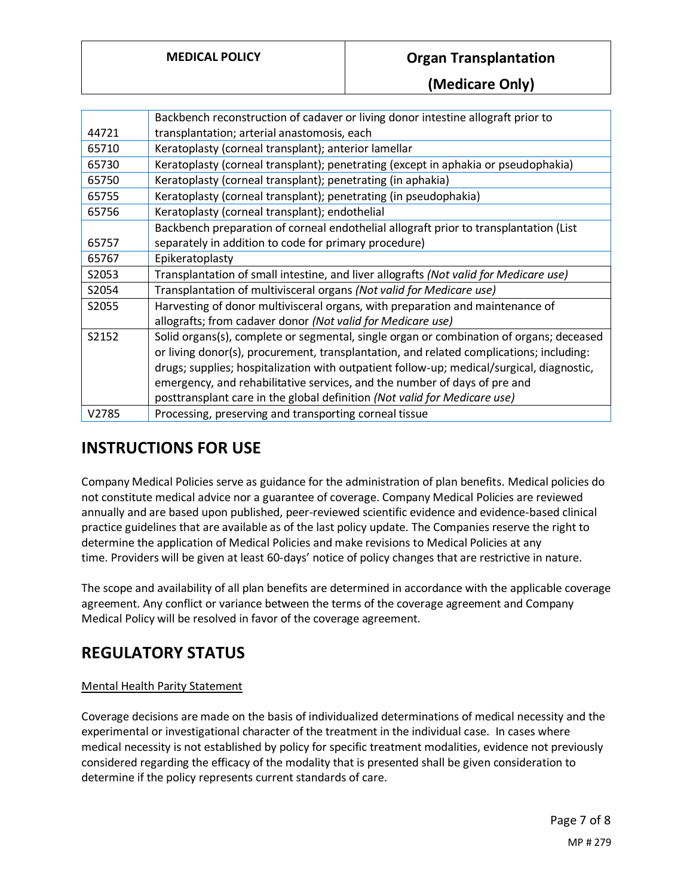**(Medicare Only)**

|       | Backbench reconstruction of cadaver or living donor intestine allograft prior to          |
|-------|-------------------------------------------------------------------------------------------|
| 44721 | transplantation; arterial anastomosis, each                                               |
| 65710 | Keratoplasty (corneal transplant); anterior lamellar                                      |
| 65730 | Keratoplasty (corneal transplant); penetrating (except in aphakia or pseudophakia)        |
| 65750 | Keratoplasty (corneal transplant); penetrating (in aphakia)                               |
| 65755 | Keratoplasty (corneal transplant); penetrating (in pseudophakia)                          |
| 65756 | Keratoplasty (corneal transplant); endothelial                                            |
|       | Backbench preparation of corneal endothelial allograft prior to transplantation (List     |
| 65757 | separately in addition to code for primary procedure)                                     |
| 65767 | Epikeratoplasty                                                                           |
| S2053 | Transplantation of small intestine, and liver allografts (Not valid for Medicare use)     |
| S2054 | Transplantation of multivisceral organs (Not valid for Medicare use)                      |
| S2055 | Harvesting of donor multivisceral organs, with preparation and maintenance of             |
|       | allografts; from cadaver donor (Not valid for Medicare use)                               |
| S2152 | Solid organs(s), complete or segmental, single organ or combination of organs; deceased   |
|       | or living donor(s), procurement, transplantation, and related complications; including:   |
|       | drugs; supplies; hospitalization with outpatient follow-up; medical/surgical, diagnostic, |
|       | emergency, and rehabilitative services, and the number of days of pre and                 |
|       | posttransplant care in the global definition (Not valid for Medicare use)                 |
| V2785 | Processing, preserving and transporting corneal tissue                                    |

## **INSTRUCTIONS FOR USE**

Company Medical Policies serve as guidance for the administration of plan benefits. Medical policies do not constitute medical advice nor a guarantee of coverage. Company Medical Policies are reviewed annually and are based upon published, peer-reviewed scientific evidence and evidence-based clinical practice guidelines that are available as of the last policy update. The Companies reserve the right to determine the application of Medical Policies and make revisions to Medical Policies at any time. Providers will be given at least 60-days' notice of policy changes that are restrictive in nature.

The scope and availability of all plan benefits are determined in accordance with the applicable coverage agreement. Any conflict or variance between the terms of the coverage agreement and Company Medical Policy will be resolved in favor of the coverage agreement.

### **REGULATORY STATUS**

#### Mental Health Parity Statement

Coverage decisions are made on the basis of individualized determinations of medical necessity and the experimental or investigational character of the treatment in the individual case. In cases where medical necessity is not established by policy for specific treatment modalities, evidence not previously considered regarding the efficacy of the modality that is presented shall be given consideration to determine if the policy represents current standards of care.